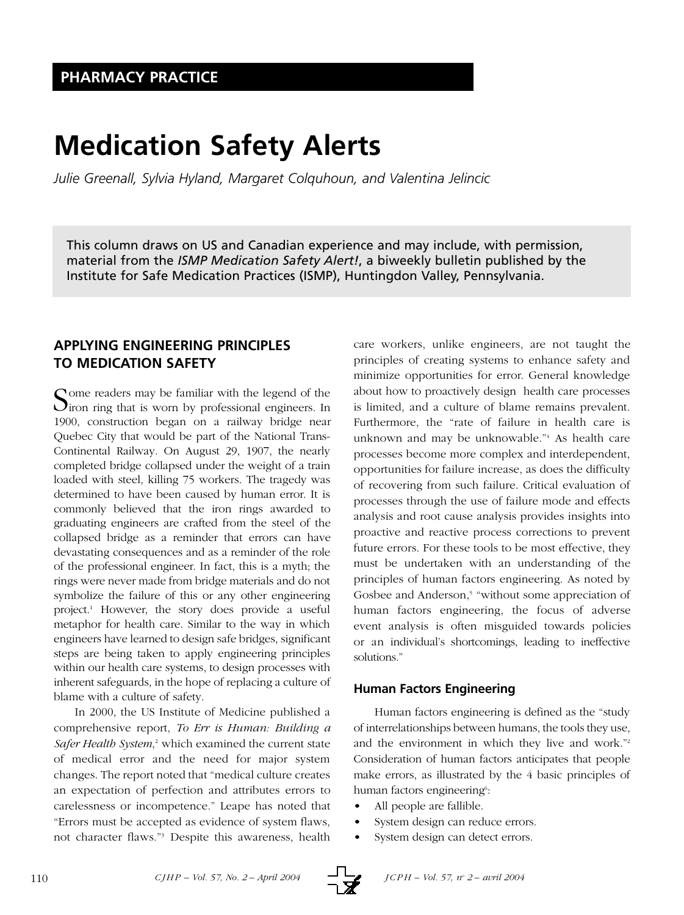# **Medication Safety Alerts**

*Julie Greenall, Sylvia Hyland, Margaret Colquhoun, and Valentina Jelincic*

This column draws on US and Canadian experience and may include, with permission, material from the *ISMP Medication Safety Alert!*, a biweekly bulletin published by the Institute for Safe Medication Practices (ISMP), Huntingdon Valley, Pennsylvania.

# **APPLYING ENGINEERING PRINCIPLES TO MEDICATION SAFETY**

Some readers may be familiar with the legend of the line of the site of the site of the site of the site of the site of the site of the site of the site of the site of the site of the site of the site of the site of the si 1900, construction began on a railway bridge near Quebec City that would be part of the National Trans-Continental Railway. On August 29, 1907, the nearly completed bridge collapsed under the weight of a train loaded with steel, killing 75 workers. The tragedy was determined to have been caused by human error. It is commonly believed that the iron rings awarded to graduating engineers are crafted from the steel of the collapsed bridge as a reminder that errors can have devastating consequences and as a reminder of the role of the professional engineer. In fact, this is a myth; the rings were never made from bridge materials and do not symbolize the failure of this or any other engineering project.1 However, the story does provide a useful metaphor for health care. Similar to the way in which engineers have learned to design safe bridges, significant steps are being taken to apply engineering principles within our health care systems, to design processes with inherent safeguards, in the hope of replacing a culture of blame with a culture of safety.

In 2000, the US Institute of Medicine published a comprehensive report, *To Err is Human: Building a Safer Health System*, <sup>2</sup> which examined the current state of medical error and the need for major system changes. The report noted that "medical culture creates an expectation of perfection and attributes errors to carelessness or incompetence." Leape has noted that "Errors must be accepted as evidence of system flaws, not character flaws."3 Despite this awareness, health

care workers, unlike engineers, are not taught the principles of creating systems to enhance safety and minimize opportunities for error. General knowledge about how to proactively design health care processes is limited, and a culture of blame remains prevalent. Furthermore, the "rate of failure in health care is unknown and may be unknowable."4 As health care processes become more complex and interdependent, opportunities for failure increase, as does the difficulty of recovering from such failure. Critical evaluation of processes through the use of failure mode and effects analysis and root cause analysis provides insights into proactive and reactive process corrections to prevent future errors. For these tools to be most effective, they must be undertaken with an understanding of the principles of human factors engineering. As noted by Gosbee and Anderson,<sup>5</sup> "without some appreciation of human factors engineering, the focus of adverse event analysis is often misguided towards policies or an individual's shortcomings, leading to ineffective solutions."

# **Human Factors Engineering**

Human factors engineering is defined as the "study of interrelationships between humans, the tools they use, and the environment in which they live and work."2 Consideration of human factors anticipates that people make errors, as illustrated by the 4 basic principles of human factors engineering6:

- All people are fallible.
- System design can reduce errors.
- System design can detect errors.

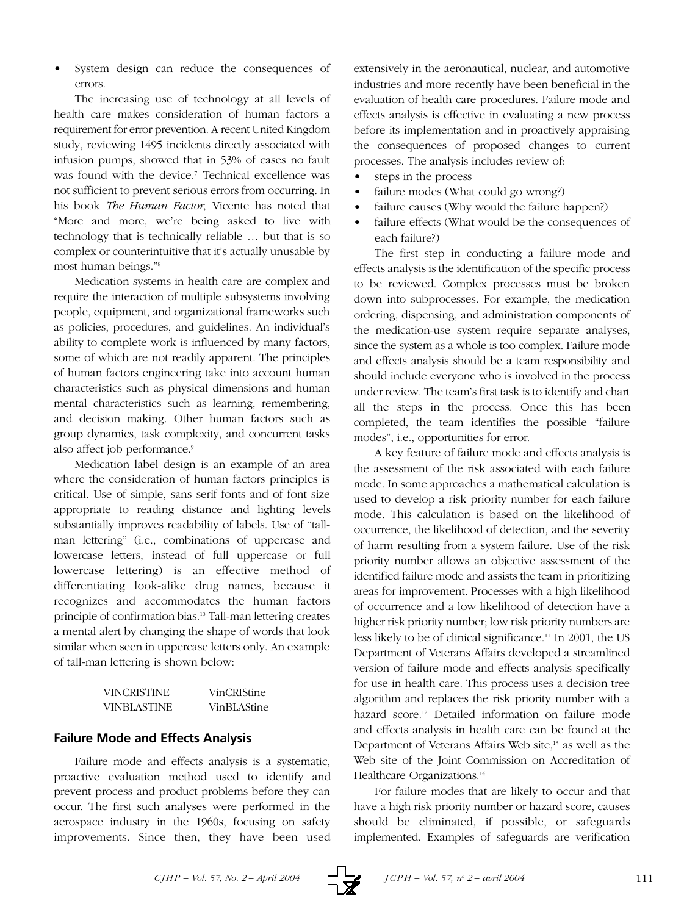System design can reduce the consequences of errors.

The increasing use of technology at all levels of health care makes consideration of human factors a requirement for error prevention. A recent United Kingdom study, reviewing 1495 incidents directly associated with infusion pumps, showed that in 53% of cases no fault was found with the device.<sup>7</sup> Technical excellence was not sufficient to prevent serious errors from occurring. In his book *The Human Factor*, Vicente has noted that "More and more, we're being asked to live with technology that is technically reliable … but that is so complex or counterintuitive that it's actually unusable by most human beings."8

Medication systems in health care are complex and require the interaction of multiple subsystems involving people, equipment, and organizational frameworks such as policies, procedures, and guidelines. An individual's ability to complete work is influenced by many factors, some of which are not readily apparent. The principles of human factors engineering take into account human characteristics such as physical dimensions and human mental characteristics such as learning, remembering, and decision making. Other human factors such as group dynamics, task complexity, and concurrent tasks also affect job performance.<sup>9</sup>

Medication label design is an example of an area where the consideration of human factors principles is critical. Use of simple, sans serif fonts and of font size appropriate to reading distance and lighting levels substantially improves readability of labels. Use of "tallman lettering" (i.e., combinations of uppercase and lowercase letters, instead of full uppercase or full lowercase lettering) is an effective method of differentiating look-alike drug names, because it recognizes and accommodates the human factors principle of confirmation bias.<sup>10</sup> Tall-man lettering creates a mental alert by changing the shape of words that look similar when seen in uppercase letters only. An example of tall-man lettering is shown below:

| <b>VINCRISTINE</b> | VinCRIStine |
|--------------------|-------------|
| <b>VINBLASTINE</b> | VinBLAStine |

## **Failure Mode and Effects Analysis**

Failure mode and effects analysis is a systematic, proactive evaluation method used to identify and prevent process and product problems before they can occur. The first such analyses were performed in the aerospace industry in the 1960s, focusing on safety improvements. Since then, they have been used

extensively in the aeronautical, nuclear, and automotive industries and more recently have been beneficial in the evaluation of health care procedures. Failure mode and effects analysis is effective in evaluating a new process before its implementation and in proactively appraising the consequences of proposed changes to current processes. The analysis includes review of:

- steps in the process
- failure modes (What could go wrong?)
- failure causes (Why would the failure happen?)
- failure effects (What would be the consequences of each failure?)

The first step in conducting a failure mode and effects analysis is the identification of the specific process to be reviewed. Complex processes must be broken down into subprocesses. For example, the medication ordering, dispensing, and administration components of the medication-use system require separate analyses, since the system as a whole is too complex. Failure mode and effects analysis should be a team responsibility and should include everyone who is involved in the process under review. The team's first task is to identify and chart all the steps in the process. Once this has been completed, the team identifies the possible "failure modes", i.e., opportunities for error.

A key feature of failure mode and effects analysis is the assessment of the risk associated with each failure mode. In some approaches a mathematical calculation is used to develop a risk priority number for each failure mode. This calculation is based on the likelihood of occurrence, the likelihood of detection, and the severity of harm resulting from a system failure. Use of the risk priority number allows an objective assessment of the identified failure mode and assists the team in prioritizing areas for improvement. Processes with a high likelihood of occurrence and a low likelihood of detection have a higher risk priority number; low risk priority numbers are less likely to be of clinical significance.11 In 2001, the US Department of Veterans Affairs developed a streamlined version of failure mode and effects analysis specifically for use in health care. This process uses a decision tree algorithm and replaces the risk priority number with a hazard score.<sup>12</sup> Detailed information on failure mode and effects analysis in health care can be found at the Department of Veterans Affairs Web site,<sup>13</sup> as well as the Web site of the Joint Commission on Accreditation of Healthcare Organizations.<sup>14</sup>

For failure modes that are likely to occur and that have a high risk priority number or hazard score, causes should be eliminated, if possible, or safeguards implemented. Examples of safeguards are verification

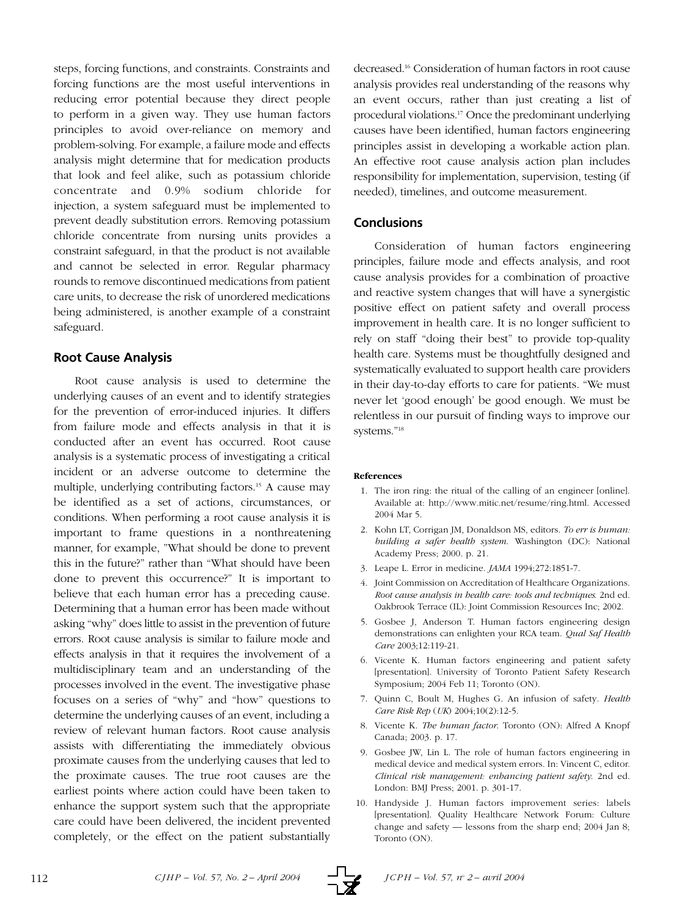steps, forcing functions, and constraints. Constraints and forcing functions are the most useful interventions in reducing error potential because they direct people to perform in a given way. They use human factors principles to avoid over-reliance on memory and problem-solving. For example, a failure mode and effects analysis might determine that for medication products that look and feel alike, such as potassium chloride concentrate and 0.9% sodium chloride for injection, a system safeguard must be implemented to prevent deadly substitution errors. Removing potassium chloride concentrate from nursing units provides a constraint safeguard, in that the product is not available and cannot be selected in error. Regular pharmacy rounds to remove discontinued medications from patient care units, to decrease the risk of unordered medications being administered, is another example of a constraint safeguard.

## **Root Cause Analysis**

Root cause analysis is used to determine the underlying causes of an event and to identify strategies for the prevention of error-induced injuries. It differs from failure mode and effects analysis in that it is conducted after an event has occurred. Root cause analysis is a systematic process of investigating a critical incident or an adverse outcome to determine the multiple, underlying contributing factors.<sup>15</sup> A cause may be identified as a set of actions, circumstances, or conditions. When performing a root cause analysis it is important to frame questions in a nonthreatening manner, for example, "What should be done to prevent this in the future?" rather than "What should have been done to prevent this occurrence?" It is important to believe that each human error has a preceding cause. Determining that a human error has been made without asking "why" does little to assist in the prevention of future errors. Root cause analysis is similar to failure mode and effects analysis in that it requires the involvement of a multidisciplinary team and an understanding of the processes involved in the event. The investigative phase focuses on a series of "why" and "how" questions to determine the underlying causes of an event, including a review of relevant human factors. Root cause analysis assists with differentiating the immediately obvious proximate causes from the underlying causes that led to the proximate causes. The true root causes are the earliest points where action could have been taken to enhance the support system such that the appropriate care could have been delivered, the incident prevented completely, or the effect on the patient substantially

decreased.16 Consideration of human factors in root cause analysis provides real understanding of the reasons why an event occurs, rather than just creating a list of procedural violations.17 Once the predominant underlying causes have been identified, human factors engineering principles assist in developing a workable action plan. An effective root cause analysis action plan includes responsibility for implementation, supervision, testing (if needed), timelines, and outcome measurement.

## **Conclusions**

Consideration of human factors engineering principles, failure mode and effects analysis, and root cause analysis provides for a combination of proactive and reactive system changes that will have a synergistic positive effect on patient safety and overall process improvement in health care. It is no longer sufficient to rely on staff "doing their best" to provide top-quality health care. Systems must be thoughtfully designed and systematically evaluated to support health care providers in their day-to-day efforts to care for patients. "We must never let 'good enough' be good enough. We must be relentless in our pursuit of finding ways to improve our systems."18

#### **References**

- 1. The iron ring: the ritual of the calling of an engineer [online]. Available at: http://www.mitic.net/resume/ring.html. Accessed 2004 Mar 5.
- 2. Kohn LT, Corrigan JM, Donaldson MS, editors. *To err is human: building a safer health system*. Washington (DC): National Academy Press; 2000. p. 21.
- 3. Leape L. Error in medicine. *JAMA* 1994;272:1851-7.
- 4. Joint Commission on Accreditation of Healthcare Organizations. *Root cause analysis in health care: tools and techniques*. 2nd ed. Oakbrook Terrace (IL): Joint Commission Resources Inc; 2002.
- 5. Gosbee J, Anderson T. Human factors engineering design demonstrations can enlighten your RCA team. *Qual Saf Health Care* 2003;12:119-21.
- 6. Vicente K. Human factors engineering and patient safety [presentation]. University of Toronto Patient Safety Research Symposium; 2004 Feb 11; Toronto (ON).
- 7. Quinn C, Boult M, Hughes G. An infusion of safety. *Health Care Risk Rep* (*UK*) 2004;10(2):12-5.
- 8. Vicente K. *The human factor*. Toronto (ON): Alfred A Knopf Canada; 2003. p. 17.
- 9. Gosbee JW, Lin L. The role of human factors engineering in medical device and medical system errors. In: Vincent C, editor. *Clinical risk management: enhancing patient safety*. 2nd ed. London: BMJ Press; 2001. p. 301-17.
- 10. Handyside J. Human factors improvement series: labels [presentation]. Quality Healthcare Network Forum: Culture change and safety — lessons from the sharp end; 2004 Jan 8; Toronto (ON).